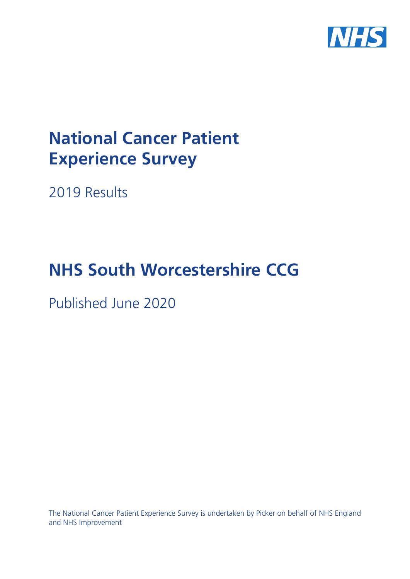

# **National Cancer Patient Experience Survey**

2019 Results

# **NHS South Worcestershire CCG**

Published June 2020

The National Cancer Patient Experience Survey is undertaken by Picker on behalf of NHS England and NHS Improvement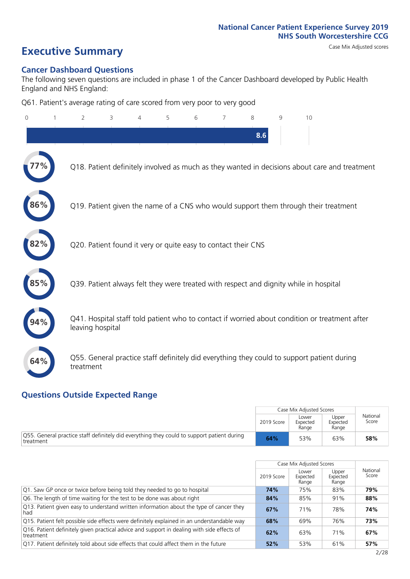# **Executive Summary** Case Mix Adjusted scores

### **Cancer Dashboard Questions**

The following seven questions are included in phase 1 of the Cancer Dashboard developed by Public Health England and NHS England:

Q61. Patient's average rating of care scored from very poor to very good

| $\Omega$ | $\overline{2}$                                                | 3 | 4 | 5 | 6 | 7 | 8   | 9 | 10                                                                                            |
|----------|---------------------------------------------------------------|---|---|---|---|---|-----|---|-----------------------------------------------------------------------------------------------|
|          |                                                               |   |   |   |   |   | 8.6 |   |                                                                                               |
|          |                                                               |   |   |   |   |   |     |   | Q18. Patient definitely involved as much as they wanted in decisions about care and treatment |
| 86%      |                                                               |   |   |   |   |   |     |   | Q19. Patient given the name of a CNS who would support them through their treatment           |
| 82%      | Q20. Patient found it very or quite easy to contact their CNS |   |   |   |   |   |     |   |                                                                                               |
| 85%      |                                                               |   |   |   |   |   |     |   | Q39. Patient always felt they were treated with respect and dignity while in hospital         |
|          | leaving hospital                                              |   |   |   |   |   |     |   | Q41. Hospital staff told patient who to contact if worried about condition or treatment after |
| 64%      | treatment                                                     |   |   |   |   |   |     |   | Q55. General practice staff definitely did everything they could to support patient during    |

### **Questions Outside Expected Range**

|                                                                                                                   |            | Case Mix Adjusted Scores   |                            |                   |
|-------------------------------------------------------------------------------------------------------------------|------------|----------------------------|----------------------------|-------------------|
|                                                                                                                   | 2019 Score | Lower<br>Expected<br>Range | Upper<br>Expected<br>Range | National<br>Score |
| $\sqrt{Q55}$ . General practice staff definitely did everything they could to support patient during<br>treatment | 64%        | 53%                        | 63%                        | 58%               |

|                                                                                                         |            | Case Mix Adjusted Scores   |                            |                   |
|---------------------------------------------------------------------------------------------------------|------------|----------------------------|----------------------------|-------------------|
|                                                                                                         | 2019 Score | Lower<br>Expected<br>Range | Upper<br>Expected<br>Range | National<br>Score |
| Q1. Saw GP once or twice before being told they needed to go to hospital                                | 74%        | 75%                        | 83%                        | 79%               |
| Q6. The length of time waiting for the test to be done was about right                                  | 84%        | 85%                        | 91%                        | 88%               |
| Q13. Patient given easy to understand written information about the type of cancer they<br>had          | 67%        | 71%                        | 78%                        | 74%               |
| Q15. Patient felt possible side effects were definitely explained in an understandable way              | 68%        | 69%                        | 76%                        | 73%               |
| Q16. Patient definitely given practical advice and support in dealing with side effects of<br>treatment | 62%        | 63%                        | 71%                        | 67%               |
| Q17. Patient definitely told about side effects that could affect them in the future                    | 52%        | 53%                        | 61%                        | 57%               |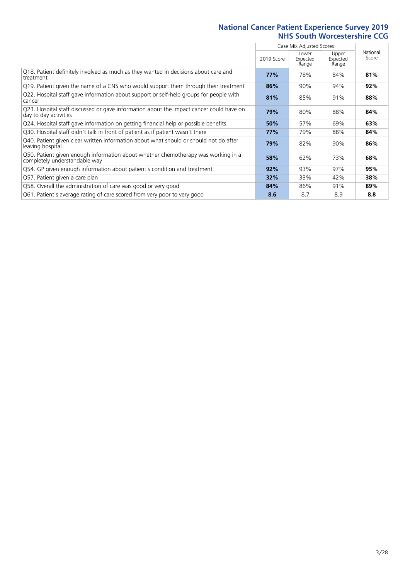|                                                                                                                    |            | Case Mix Adjusted Scores   |                            |                   |
|--------------------------------------------------------------------------------------------------------------------|------------|----------------------------|----------------------------|-------------------|
|                                                                                                                    | 2019 Score | Lower<br>Expected<br>Range | Upper<br>Expected<br>Range | National<br>Score |
| Q18. Patient definitely involved as much as they wanted in decisions about care and<br>treatment                   | 77%        | 78%                        | 84%                        | 81%               |
| Q19. Patient given the name of a CNS who would support them through their treatment                                | 86%        | 90%                        | 94%                        | 92%               |
| Q22. Hospital staff gave information about support or self-help groups for people with<br>cancer                   | 81%        | 85%                        | 91%                        | 88%               |
| Q23. Hospital staff discussed or gave information about the impact cancer could have on<br>day to day activities   | 79%        | 80%                        | 88%                        | 84%               |
| Q24. Hospital staff gave information on getting financial help or possible benefits                                | 50%        | 57%                        | 69%                        | 63%               |
| Q30. Hospital staff didn't talk in front of patient as if patient wasn't there                                     | 77%        | 79%                        | 88%                        | 84%               |
| Q40. Patient given clear written information about what should or should not do after<br>leaving hospital          | 79%        | 82%                        | 90%                        | 86%               |
| Q50. Patient given enough information about whether chemotherapy was working in a<br>completely understandable way | 58%        | 62%                        | 73%                        | 68%               |
| Q54. GP given enough information about patient's condition and treatment                                           | 92%        | 93%                        | 97%                        | 95%               |
| Q57. Patient given a care plan                                                                                     | 32%        | 33%                        | 42%                        | 38%               |
| Q58. Overall the administration of care was good or very good                                                      | 84%        | 86%                        | 91%                        | 89%               |
| Q61. Patient's average rating of care scored from very poor to very good                                           | 8.6        | 8.7                        | 8.9                        | 8.8               |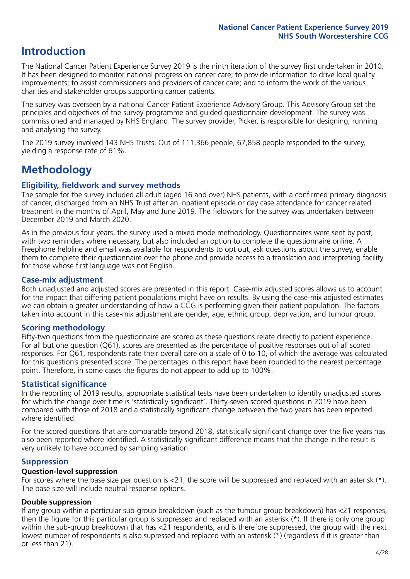## **Introduction**

The National Cancer Patient Experience Survey 2019 is the ninth iteration of the survey first undertaken in 2010. It has been designed to monitor national progress on cancer care; to provide information to drive local quality improvements; to assist commissioners and providers of cancer care; and to inform the work of the various charities and stakeholder groups supporting cancer patients.

The survey was overseen by a national Cancer Patient Experience Advisory Group. This Advisory Group set the principles and objectives of the survey programme and guided questionnaire development. The survey was commissioned and managed by NHS England. The survey provider, Picker, is responsible for designing, running and analysing the survey.

The 2019 survey involved 143 NHS Trusts. Out of 111,366 people, 67,858 people responded to the survey, yielding a response rate of 61%.

# **Methodology**

### **Eligibility, fieldwork and survey methods**

The sample for the survey included all adult (aged 16 and over) NHS patients, with a confirmed primary diagnosis of cancer, discharged from an NHS Trust after an inpatient episode or day case attendance for cancer related treatment in the months of April, May and June 2019. The fieldwork for the survey was undertaken between December 2019 and March 2020.

As in the previous four years, the survey used a mixed mode methodology. Questionnaires were sent by post, with two reminders where necessary, but also included an option to complete the questionnaire online. A Freephone helpline and email was available for respondents to opt out, ask questions about the survey, enable them to complete their questionnaire over the phone and provide access to a translation and interpreting facility for those whose first language was not English.

### **Case-mix adjustment**

Both unadjusted and adjusted scores are presented in this report. Case-mix adjusted scores allows us to account for the impact that differing patient populations might have on results. By using the case-mix adjusted estimates we can obtain a greater understanding of how a CCG is performing given their patient population. The factors taken into account in this case-mix adjustment are gender, age, ethnic group, deprivation, and tumour group.

### **Scoring methodology**

Fifty-two questions from the questionnaire are scored as these questions relate directly to patient experience. For all but one question (Q61), scores are presented as the percentage of positive responses out of all scored responses. For Q61, respondents rate their overall care on a scale of 0 to 10, of which the average was calculated for this question's presented score. The percentages in this report have been rounded to the nearest percentage point. Therefore, in some cases the figures do not appear to add up to 100%.

### **Statistical significance**

In the reporting of 2019 results, appropriate statistical tests have been undertaken to identify unadjusted scores for which the change over time is 'statistically significant'. Thirty-seven scored questions in 2019 have been compared with those of 2018 and a statistically significant change between the two years has been reported where identified.

For the scored questions that are comparable beyond 2018, statistically significant change over the five years has also been reported where identified. A statistically significant difference means that the change in the result is very unlikely to have occurred by sampling variation.

### **Suppression**

### **Question-level suppression**

For scores where the base size per question is  $<$ 21, the score will be suppressed and replaced with an asterisk (\*). The base size will include neutral response options.

### **Double suppression**

If any group within a particular sub-group breakdown (such as the tumour group breakdown) has <21 responses, then the figure for this particular group is suppressed and replaced with an asterisk (\*). If there is only one group within the sub-group breakdown that has <21 respondents, and is therefore suppressed, the group with the next lowest number of respondents is also supressed and replaced with an asterisk (\*) (regardless if it is greater than or less than 21).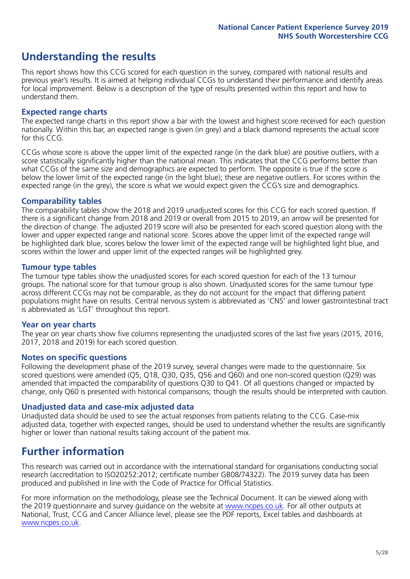## **Understanding the results**

This report shows how this CCG scored for each question in the survey, compared with national results and previous year's results. It is aimed at helping individual CCGs to understand their performance and identify areas for local improvement. Below is a description of the type of results presented within this report and how to understand them.

### **Expected range charts**

The expected range charts in this report show a bar with the lowest and highest score received for each question nationally. Within this bar, an expected range is given (in grey) and a black diamond represents the actual score for this CCG.

CCGs whose score is above the upper limit of the expected range (in the dark blue) are positive outliers, with a score statistically significantly higher than the national mean. This indicates that the CCG performs better than what CCGs of the same size and demographics are expected to perform. The opposite is true if the score is below the lower limit of the expected range (in the light blue); these are negative outliers. For scores within the expected range (in the grey), the score is what we would expect given the CCG's size and demographics.

### **Comparability tables**

The comparability tables show the 2018 and 2019 unadjusted scores for this CCG for each scored question. If there is a significant change from 2018 and 2019 or overall from 2015 to 2019, an arrow will be presented for the direction of change. The adjusted 2019 score will also be presented for each scored question along with the lower and upper expected range and national score. Scores above the upper limit of the expected range will be highlighted dark blue, scores below the lower limit of the expected range will be highlighted light blue, and scores within the lower and upper limit of the expected ranges will be highlighted grey.

### **Tumour type tables**

The tumour type tables show the unadjusted scores for each scored question for each of the 13 tumour groups. The national score for that tumour group is also shown. Unadjusted scores for the same tumour type across different CCGs may not be comparable, as they do not account for the impact that differing patient populations might have on results. Central nervous system is abbreviated as 'CNS' and lower gastrointestinal tract is abbreviated as 'LGT' throughout this report.

### **Year on year charts**

The year on year charts show five columns representing the unadjusted scores of the last five years (2015, 2016, 2017, 2018 and 2019) for each scored question.

### **Notes on specific questions**

Following the development phase of the 2019 survey, several changes were made to the questionnaire. Six scored questions were amended (Q5, Q18, Q30, Q35, Q56 and Q60) and one non-scored question (Q29) was amended that impacted the comparability of questions Q30 to Q41. Of all questions changed or impacted by change, only Q60 is presented with historical comparisons; though the results should be interpreted with caution.

### **Unadjusted data and case-mix adjusted data**

Unadjusted data should be used to see the actual responses from patients relating to the CCG. Case-mix adjusted data, together with expected ranges, should be used to understand whether the results are significantly higher or lower than national results taking account of the patient mix.

### **Further information**

This research was carried out in accordance with the international standard for organisations conducting social research (accreditation to ISO20252:2012; certificate number GB08/74322). The 2019 survey data has been produced and published in line with the Code of Practice for Official Statistics.

For more information on the methodology, please see the Technical Document. It can be viewed along with the 2019 questionnaire and survey quidance on the website at [www.ncpes.co.uk](https://www.ncpes.co.uk/supporting-documents). For all other outputs at National, Trust, CCG and Cancer Alliance level, please see the PDF reports, Excel tables and dashboards at [www.ncpes.co.uk.](https://www.ncpes.co.uk/current-results)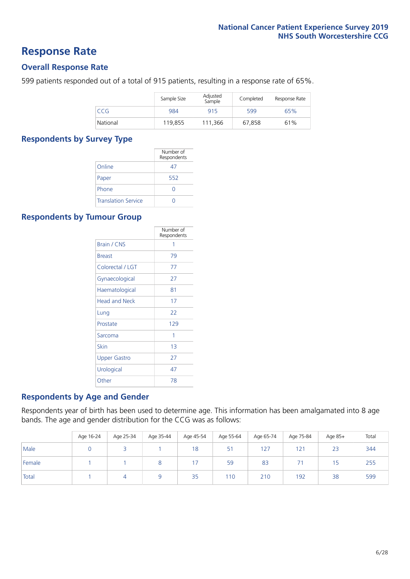### **Response Rate**

### **Overall Response Rate**

599 patients responded out of a total of 915 patients, resulting in a response rate of 65%.

|          | Sample Size | Adjusted<br>Sample | Completed | Response Rate |
|----------|-------------|--------------------|-----------|---------------|
| CCG      | 984         | 915                | 599       | 65%           |
| National | 119,855     | 111.366            | 67,858    | 61%           |

### **Respondents by Survey Type**

|                            | Number of<br>Respondents |
|----------------------------|--------------------------|
| Online                     | 47                       |
| Paper                      | 552                      |
| Phone                      |                          |
| <b>Translation Service</b> |                          |

### **Respondents by Tumour Group**

|                      | Number of<br>Respondents |
|----------------------|--------------------------|
| <b>Brain / CNS</b>   | 1                        |
| <b>Breast</b>        | 79                       |
| Colorectal / LGT     | 77                       |
| Gynaecological       | 27                       |
| Haematological       | 81                       |
| <b>Head and Neck</b> | 17                       |
| Lung                 | 22                       |
| Prostate             | 129                      |
| Sarcoma              | 1                        |
| Skin                 | 1 <sub>3</sub>           |
| <b>Upper Gastro</b>  | 27                       |
| Urological           | 47                       |
| Other                | 78                       |

### **Respondents by Age and Gender**

Respondents year of birth has been used to determine age. This information has been amalgamated into 8 age bands. The age and gender distribution for the CCG was as follows:

|        | Age 16-24 | Age 25-34 | Age 35-44 | Age 45-54 | Age 55-64 | Age 65-74 | Age 75-84 | Age 85+ | Total |
|--------|-----------|-----------|-----------|-----------|-----------|-----------|-----------|---------|-------|
| Male   |           |           |           | 18        | 51        | 127       | 121       | 23      | 344   |
| Female |           |           |           | 17        | 59        | 83        | ÷.        | 15      | 255   |
| Total  |           |           |           | 35        | 110       | 210       | 192       | 38      | 599   |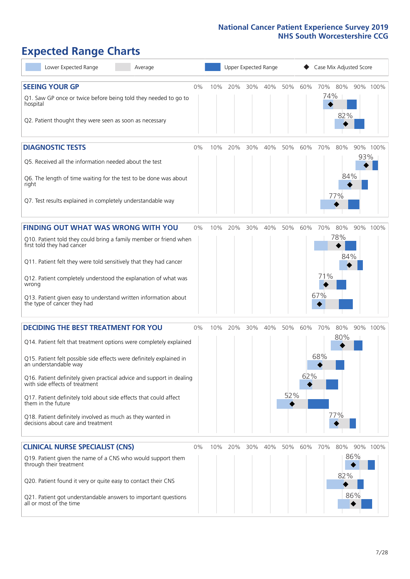# **Expected Range Charts**

| Lower Expected Range<br>Average                                                                                                                                                                                                                                                                                                                                                                                                                                               | Upper Expected Range<br>Case Mix Adjusted Score |     |         |     |     |     |     |            |                   |            |          |
|-------------------------------------------------------------------------------------------------------------------------------------------------------------------------------------------------------------------------------------------------------------------------------------------------------------------------------------------------------------------------------------------------------------------------------------------------------------------------------|-------------------------------------------------|-----|---------|-----|-----|-----|-----|------------|-------------------|------------|----------|
| <b>SEEING YOUR GP</b><br>Q1. Saw GP once or twice before being told they needed to go to<br>hospital<br>Q2. Patient thought they were seen as soon as necessary                                                                                                                                                                                                                                                                                                               | 0%                                              | 10% | 20%     | 30% | 40% | 50% | 60% | 70%<br>74% | 80%<br>82%        |            | 90% 100% |
| <b>DIAGNOSTIC TESTS</b><br>Q5. Received all the information needed about the test<br>Q6. The length of time waiting for the test to be done was about<br>right                                                                                                                                                                                                                                                                                                                | $0\%$                                           | 10% | 20%     | 30% | 40% | 50% | 60% | 70%        | 80%<br>84%        | 93%        | 90% 100% |
| Q7. Test results explained in completely understandable way                                                                                                                                                                                                                                                                                                                                                                                                                   |                                                 |     |         |     |     |     |     |            | 77%               |            |          |
| <b>FINDING OUT WHAT WAS WRONG WITH YOU</b><br>Q10. Patient told they could bring a family member or friend when<br>first told they had cancer                                                                                                                                                                                                                                                                                                                                 | 0%                                              | 10% | 20%     | 30% | 40% | 50% | 60% | 70%        | 80%<br>78%<br>84% |            | 90% 100% |
| Q11. Patient felt they were told sensitively that they had cancer<br>Q12. Patient completely understood the explanation of what was<br>wrong<br>Q13. Patient given easy to understand written information about<br>the type of cancer they had                                                                                                                                                                                                                                |                                                 |     |         |     |     |     |     | 71%<br>67% |                   |            |          |
| <b>DECIDING THE BEST TREATMENT FOR YOU</b>                                                                                                                                                                                                                                                                                                                                                                                                                                    | 0%                                              | 10% | 20%     | 30% | 40% | 50% | 60% | 70%        | 80%               |            | 90% 100% |
| Q14. Patient felt that treatment options were completely explained<br>Q15. Patient felt possible side effects were definitely explained in<br>an understandable way<br>Q16. Patient definitely given practical advice and support in dealing<br>with side effects of treatment<br>Q17. Patient definitely told about side effects that could affect<br>them in the future<br>Q18. Patient definitely involved as much as they wanted in<br>decisions about care and treatment |                                                 |     |         |     |     | 52% | 62% | 68%        | 80%<br>77%        |            |          |
| <b>CLINICAL NURSE SPECIALIST (CNS)</b><br>Q19. Patient given the name of a CNS who would support them<br>through their treatment<br>Q20. Patient found it very or quite easy to contact their CNS<br>Q21. Patient got understandable answers to important questions<br>all or most of the time                                                                                                                                                                                | 0%                                              |     | 10% 20% | 30% | 40% | 50% | 60% | 70%        | 80%<br>82%        | 86%<br>86% | 90% 100% |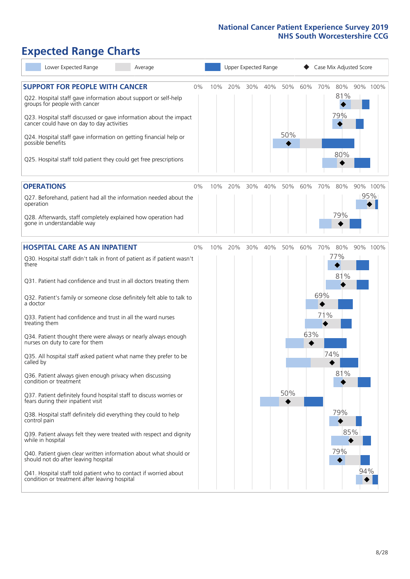# **Expected Range Charts**

| Lower Expected Range<br>Average                                                                                                                                                                                                                                                                                                                                                                                                     |     |     | Upper Expected Range |     |            |     |     | Case Mix Adjusted Score  |     |          |
|-------------------------------------------------------------------------------------------------------------------------------------------------------------------------------------------------------------------------------------------------------------------------------------------------------------------------------------------------------------------------------------------------------------------------------------|-----|-----|----------------------|-----|------------|-----|-----|--------------------------|-----|----------|
| <b>SUPPORT FOR PEOPLE WITH CANCER</b><br>0%<br>Q22. Hospital staff gave information about support or self-help<br>groups for people with cancer<br>Q23. Hospital staff discussed or gave information about the impact<br>cancer could have on day to day activities<br>Q24. Hospital staff gave information on getting financial help or<br>possible benefits<br>Q25. Hospital staff told patient they could get free prescriptions | 10% | 20% | 30%                  | 40% | 50%<br>50% | 60% | 70% | 80%<br>81%<br>79%<br>80% |     | 90% 100% |
| <b>OPERATIONS</b><br>0%                                                                                                                                                                                                                                                                                                                                                                                                             | 10% | 20% | 30%                  | 40% | 50%        | 60% | 70% | 80%                      |     | 90% 100% |
| Q27. Beforehand, patient had all the information needed about the<br>operation<br>Q28. Afterwards, staff completely explained how operation had                                                                                                                                                                                                                                                                                     |     |     |                      |     |            |     |     | 79%                      |     | 95%      |
| gone in understandable way                                                                                                                                                                                                                                                                                                                                                                                                          |     |     |                      |     |            |     |     |                          |     |          |
| <b>HOSPITAL CARE AS AN INPATIENT</b><br>0%<br>Q30. Hospital staff didn't talk in front of patient as if patient wasn't<br>there                                                                                                                                                                                                                                                                                                     | 10% | 20% | 30%                  | 40% | 50%        | 60% | 70% | 80%<br>77%               |     | 90% 100% |
| Q31. Patient had confidence and trust in all doctors treating them<br>Q32. Patient's family or someone close definitely felt able to talk to                                                                                                                                                                                                                                                                                        |     |     |                      |     |            |     | 69% | 81%                      |     |          |
| a doctor<br>Q33. Patient had confidence and trust in all the ward nurses<br>treating them                                                                                                                                                                                                                                                                                                                                           |     |     |                      |     |            |     | 71% |                          |     |          |
| Q34. Patient thought there were always or nearly always enough<br>nurses on duty to care for them                                                                                                                                                                                                                                                                                                                                   |     |     |                      |     |            | 63% |     |                          |     |          |
| Q35. All hospital staff asked patient what name they prefer to be<br>called by                                                                                                                                                                                                                                                                                                                                                      |     |     |                      |     |            |     | 74% | 81%                      |     |          |
| Q36. Patient always given enough privacy when discussing<br>condition or treatment<br>Q37. Patient definitely found hospital staff to discuss worries or<br>fears during their inpatient visit                                                                                                                                                                                                                                      |     |     |                      |     | 50%        |     |     |                          |     |          |
| Q38. Hospital staff definitely did everything they could to help<br>control pain                                                                                                                                                                                                                                                                                                                                                    |     |     |                      |     |            |     |     | 79%                      |     |          |
| Q39. Patient always felt they were treated with respect and dignity<br>while in hospital                                                                                                                                                                                                                                                                                                                                            |     |     |                      |     |            |     |     | 85%                      |     |          |
| Q40. Patient given clear written information about what should or<br>should not do after leaving hospital                                                                                                                                                                                                                                                                                                                           |     |     |                      |     |            |     |     | 79%                      |     |          |
| Q41. Hospital staff told patient who to contact if worried about<br>condition or treatment after leaving hospital                                                                                                                                                                                                                                                                                                                   |     |     |                      |     |            |     |     |                          | 94% |          |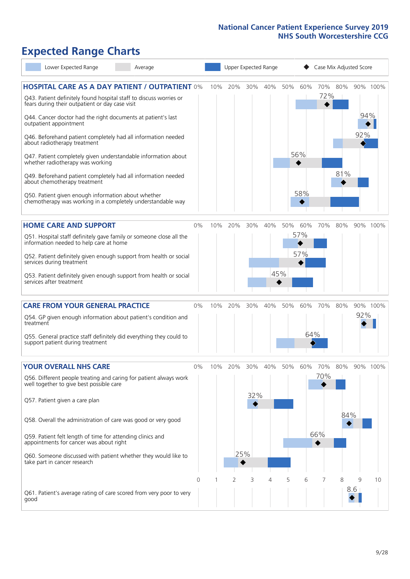# **Expected Range Charts**

| Lower Expected Range                                                                                                  | Average |    |     |     |        | Upper Expected Range |     | Case Mix Adjusted Score |     |     |     |          |  |
|-----------------------------------------------------------------------------------------------------------------------|---------|----|-----|-----|--------|----------------------|-----|-------------------------|-----|-----|-----|----------|--|
| <b>HOSPITAL CARE AS A DAY PATIENT / OUTPATIENT 0%</b>                                                                 |         |    | 10% | 20% | 30%    | 40%                  | 50% | 60%                     | 70% | 80% |     | 90% 100% |  |
| Q43. Patient definitely found hospital staff to discuss worries or<br>fears during their outpatient or day case visit |         |    |     |     |        |                      |     |                         | 72% |     |     |          |  |
| Q44. Cancer doctor had the right documents at patient's last<br>outpatient appointment                                |         |    |     |     |        |                      |     |                         |     |     | 94% |          |  |
| Q46. Beforehand patient completely had all information needed<br>about radiotherapy treatment                         |         |    |     |     |        |                      |     |                         |     |     | 92% |          |  |
| Q47. Patient completely given understandable information about<br>whether radiotherapy was working                    |         |    |     |     |        |                      |     | 56%                     |     |     |     |          |  |
| Q49. Beforehand patient completely had all information needed<br>about chemotherapy treatment                         |         |    |     |     |        |                      |     |                         |     | 81% |     |          |  |
| Q50. Patient given enough information about whether<br>chemotherapy was working in a completely understandable way    |         |    |     |     |        |                      |     | 58%                     |     |     |     |          |  |
| <b>HOME CARE AND SUPPORT</b>                                                                                          |         | 0% | 10% | 20% | 30%    | 40%                  | 50% | 60%                     | 70% | 80% |     | 90% 100% |  |
| Q51. Hospital staff definitely gave family or someone close all the<br>information needed to help care at home        |         |    |     |     |        |                      |     | 57%                     |     |     |     |          |  |
| Q52. Patient definitely given enough support from health or social<br>services during treatment                       |         |    |     |     |        |                      |     | 57%                     |     |     |     |          |  |
| Q53. Patient definitely given enough support from health or social<br>services after treatment                        |         |    |     |     |        |                      | 45% |                         |     |     |     |          |  |
| <b>CARE FROM YOUR GENERAL PRACTICE</b>                                                                                |         | 0% | 10% | 20% | $30\%$ | 40%                  | 50% | 60%                     | 70% | 80% |     | 90% 100% |  |
| Q54. GP given enough information about patient's condition and<br>treatment                                           |         |    |     |     |        |                      |     |                         |     |     | 92% |          |  |
| Q55. General practice staff definitely did everything they could to<br>support patient during treatment               |         |    |     |     |        |                      |     | 64%                     |     |     |     |          |  |
| <b>YOUR OVERALL NHS CARE</b>                                                                                          |         | 0% | 10% | 20% | 30%    | 40%                  | 50% | 60%                     | 70% | 80% |     | 90% 100% |  |
| Q56. Different people treating and caring for patient always work<br>well together to give best possible care         |         |    |     |     |        |                      |     |                         | 70% |     |     |          |  |
| Q57. Patient given a care plan                                                                                        |         |    |     |     | 32%    |                      |     |                         |     |     |     |          |  |
| Q58. Overall the administration of care was good or very good                                                         |         |    |     |     |        |                      |     |                         |     | 84% |     |          |  |
| Q59. Patient felt length of time for attending clinics and<br>appointments for cancer was about right                 |         |    |     |     |        |                      |     |                         | 66% |     |     |          |  |
| Q60. Someone discussed with patient whether they would like to<br>take part in cancer research                        |         |    |     |     | 25%    |                      |     |                         |     |     |     |          |  |
|                                                                                                                       |         | 0  |     | 2   | 3      | 4                    | 5   | 6                       | 7   | 8   | 9   | 10       |  |
| Q61. Patient's average rating of care scored from very poor to very<br>good                                           |         |    |     |     |        |                      |     |                         |     |     | 8.6 |          |  |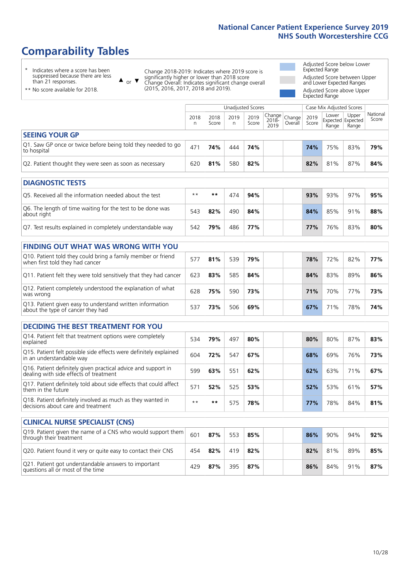# **Comparability Tables**

\* Indicates where a score has been suppressed because there are less than 21 responses.

\*\* No score available for 2018.

 $\triangle$  or  $\nabla$ 

Change 2018-2019: Indicates where 2019 score is significantly higher or lower than 2018 score Change Overall: Indicates significant change overall (2015, 2016, 2017, 2018 and 2019).

Adjusted Score below Lower Expected Range Adjusted Score between Upper and Lower Expected Ranges Adjusted Score above Upper Expected Range

|                                                                             |           | Unadjusted Scores |           |               |                                          |         |               | Case Mix Adjusted Scores            |                |                   |
|-----------------------------------------------------------------------------|-----------|-------------------|-----------|---------------|------------------------------------------|---------|---------------|-------------------------------------|----------------|-------------------|
|                                                                             | 2018<br>n | 2018<br>Score     | 2019<br>n | 2019<br>Score | $\sqrt{Change} Change $<br>2018-<br>2019 | Overall | 2019<br>Score | Lower<br>Expected Expected<br>Range | Upper<br>Range | National<br>Score |
| <b>SEEING YOUR GP</b>                                                       |           |                   |           |               |                                          |         |               |                                     |                |                   |
| Q1. Saw GP once or twice before being told they needed to go<br>to hospital | 471       | 74%               | 444       | 74%           |                                          |         | 74%           | 75%                                 | 83%            | 79%               |
| Q2. Patient thought they were seen as soon as necessary                     | 620       | 81%               | 580       | 82%           |                                          |         | 82%           | 81%                                 | 87%            | 84%               |
| DIAGNOSTIC TESTS                                                            |           |                   |           |               |                                          |         |               |                                     |                |                   |

| <b>PIASIVOJIIL ILJIJ</b>                                                  |      |     |     |     |  |     |     |     |     |
|---------------------------------------------------------------------------|------|-----|-----|-----|--|-----|-----|-----|-----|
| O5. Received all the information needed about the test                    | $**$ | **  | 474 | 94% |  | 93% | 93% | 97% | 95% |
| Q6. The length of time waiting for the test to be done was<br>about right | 543  | 82% | 490 | 84% |  | 84% | 85% | 91% | 88% |
| Q7. Test results explained in completely understandable way               | 542  | 79% | 486 | 77% |  | 77% | 76% | 83% | 80% |

| <b>FINDING OUT WHAT WAS WRONG WITH YOU</b>                                                      |     |     |     |     |  |     |     |     |     |
|-------------------------------------------------------------------------------------------------|-----|-----|-----|-----|--|-----|-----|-----|-----|
| Q10. Patient told they could bring a family member or friend<br>when first told they had cancer | 577 | 81% | 539 | 79% |  | 78% | 72% | 82% | 77% |
| Q11. Patient felt they were told sensitively that they had cancer                               | 623 | 83% | 585 | 84% |  | 84% | 83% | 89% | 86% |
| Q12. Patient completely understood the explanation of what<br>was wrong                         | 628 | 75% | 590 | 73% |  | 71% | 70% | 77% | 73% |
| Q13. Patient given easy to understand written information<br>about the type of cancer they had  | 537 | 73% | 506 | 69% |  | 67% | 71% | 78% | 74% |

| <b>DECIDING THE BEST TREATMENT FOR YOU</b>                                                              |      |     |     |     |     |     |     |     |
|---------------------------------------------------------------------------------------------------------|------|-----|-----|-----|-----|-----|-----|-----|
| Q14. Patient felt that treatment options were completely<br>explained                                   | 534  | 79% | 497 | 80% | 80% | 80% | 87% | 83% |
| Q15. Patient felt possible side effects were definitely explained<br>in an understandable way           | 604  | 72% | 547 | 67% | 68% | 69% | 76% | 73% |
| Q16. Patient definitely given practical advice and support in<br>dealing with side effects of treatment | 599  | 63% | 551 | 62% | 62% | 63% | 71% | 67% |
| Q17. Patient definitely told about side effects that could affect<br>them in the future                 | 571  | 52% | 525 | 53% | 52% | 53% | 61% | 57% |
| Q18. Patient definitely involved as much as they wanted in<br>decisions about care and treatment        | $**$ | **  | 575 | 78% | 77% | 78% | 84% | 81% |

| <b>CLINICAL NURSE SPECIALIST (CNS)</b>                                                    |     |     |     |     |     |     |     |     |
|-------------------------------------------------------------------------------------------|-----|-----|-----|-----|-----|-----|-----|-----|
| Q19. Patient given the name of a CNS who would support them<br>through their treatment    | 601 | 87% | 553 | 85% | 86% | 90% | 94% | 92% |
| Q20. Patient found it very or quite easy to contact their CNS                             | 454 | 82% | 419 | 82% | 82% | 81% | 89% | 85% |
| Q21. Patient got understandable answers to important<br>questions all or most of the time | 429 | 87% | 395 | 87% | 86% | 84% | 91% | 87% |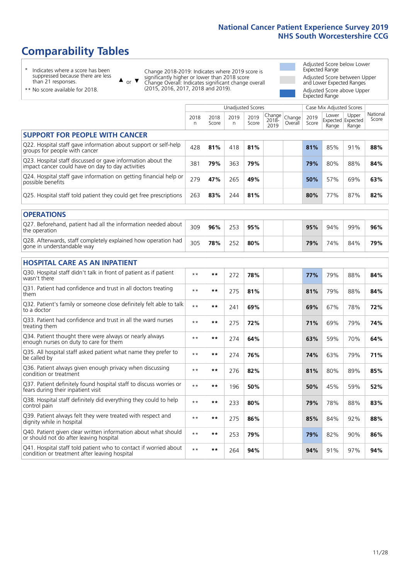# **Comparability Tables**

\* Indicates where a score has been suppressed because there are less than 21 responses.

\*\* No score available for 2018.

 $\triangle$  or  $\nabla$ 

Change 2018-2019: Indicates where 2019 score is significantly higher or lower than 2018 score Change Overall: Indicates significant change overall (2015, 2016, 2017, 2018 and 2019).

Adjusted Score below Lower Expected Range Adjusted Score between Upper and Lower Expected Ranges Adjusted Score above Upper Expected Range

|                                                                                                                   |              |               |            | <b>Unadjusted Scores</b> |                         |                   |               | Case Mix Adjusted Scores            |                |                   |
|-------------------------------------------------------------------------------------------------------------------|--------------|---------------|------------|--------------------------|-------------------------|-------------------|---------------|-------------------------------------|----------------|-------------------|
|                                                                                                                   | 2018<br>n    | 2018<br>Score | 2019<br>n. | 2019<br>Score            | Change<br>2018-<br>2019 | Change<br>Overall | 2019<br>Score | Lower<br>Expected Expected<br>Range | Upper<br>Range | National<br>Score |
| <b>SUPPORT FOR PEOPLE WITH CANCER</b>                                                                             |              |               |            |                          |                         |                   |               |                                     |                |                   |
| Q22. Hospital staff gave information about support or self-help<br>groups for people with cancer                  | 428          | 81%           | 418        | 81%                      |                         |                   | 81%           | 85%                                 | 91%            | 88%               |
| Q23. Hospital staff discussed or gave information about the<br>impact cancer could have on day to day activities  | 381          | 79%           | 363        | 79%                      |                         |                   | 79%           | 80%                                 | 88%            | 84%               |
| Q24. Hospital staff gave information on getting financial help or<br>possible benefits                            | 279          | 47%           | 265        | 49%                      |                         |                   | 50%           | 57%                                 | 69%            | 63%               |
| Q25. Hospital staff told patient they could get free prescriptions                                                | 263          | 83%           | 244        | 81%                      |                         |                   | 80%           | 77%                                 | 87%            | 82%               |
| <b>OPERATIONS</b>                                                                                                 |              |               |            |                          |                         |                   |               |                                     |                |                   |
| Q27. Beforehand, patient had all the information needed about<br>the operation                                    | 309          | 96%           | 253        | 95%                      |                         |                   | 95%           | 94%                                 | 99%            | 96%               |
| Q28. Afterwards, staff completely explained how operation had<br>gone in understandable way                       | 305          | 78%           | 252        | 80%                      |                         |                   | 79%           | 74%                                 | 84%            | 79%               |
| <b>HOSPITAL CARE AS AN INPATIENT</b>                                                                              |              |               |            |                          |                         |                   |               |                                     |                |                   |
| Q30. Hospital staff didn't talk in front of patient as if patient<br>wasn't there                                 | $* *$        | **            | 272        | 78%                      |                         |                   | 77%           | 79%                                 | 88%            | 84%               |
| Q31. Patient had confidence and trust in all doctors treating<br>them                                             | $\star\star$ | **            | 275        | 81%                      |                         |                   | 81%           | 79%                                 | 88%            | 84%               |
| Q32. Patient's family or someone close definitely felt able to talk<br>to a doctor                                | $* *$        | **            | 241        | 69%                      |                         |                   | 69%           | 67%                                 | 78%            | 72%               |
| Q33. Patient had confidence and trust in all the ward nurses<br>treating them                                     | $\star\star$ | **            | 275        | 72%                      |                         |                   | 71%           | 69%                                 | 79%            | 74%               |
| Q34. Patient thought there were always or nearly always<br>enough nurses on duty to care for them                 | $* *$        | $***$         | 274        | 64%                      |                         |                   | 63%           | 59%                                 | 70%            | 64%               |
| Q35. All hospital staff asked patient what name they prefer to<br>be called by                                    | $**$         | **            | 274        | 76%                      |                         |                   | 74%           | 63%                                 | 79%            | 71%               |
| Q36. Patient always given enough privacy when discussing<br>condition or treatment                                | $* *$        | $***$         | 276        | 82%                      |                         |                   | 81%           | 80%                                 | 89%            | 85%               |
| Q37. Patient definitely found hospital staff to discuss worries or<br>fears during their inpatient visit          | $**$         | **            | 196        | 50%                      |                         |                   | 50%           | 45%                                 | 59%            | 52%               |
| Q38. Hospital staff definitely did everything they could to help<br>control pain                                  | $* *$        | $***$         | 233        | 80%                      |                         |                   | 79%           | 78%                                 | 88%            | 83%               |
| Q39. Patient always felt they were treated with respect and<br>dignity while in hospital                          | $\star\star$ | **            | 275        | 86%                      |                         |                   | 85%           | 84%                                 | 92%            | 88%               |
| Q40. Patient given clear written information about what should<br>or should not do after leaving hospital         | $**$         | $***$         | 253        | 79%                      |                         |                   | 79%           | 82%                                 | 90%            | 86%               |
| Q41. Hospital staff told patient who to contact if worried about<br>condition or treatment after leaving hospital | $* *$        | **            | 264        | 94%                      |                         |                   | 94%           | 91%                                 | 97%            | 94%               |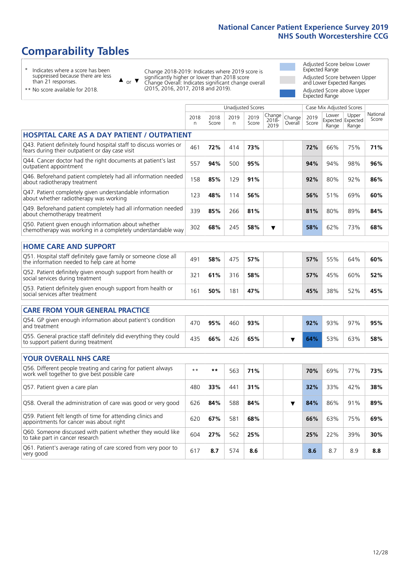Unadjusted Scores **Case Mix Adjusted Scores** 

# **Comparability Tables**

\* Indicates where a score has been suppressed because there are less than 21 responses.

or  $\blacktriangledown$  $\blacktriangle$ 

Change 2018-2019: Indicates where 2019 score is significantly higher or lower than 2018 score Change Overall: Indicates significant change overall (2015, 2016, 2017, 2018 and 2019).

Adjusted Score below Lower Expected Range Adjusted Score between Upper and Lower Expected Ranges Adjusted Score above Upper Expected Range

\*\* No score available for 2018.

|                                                                                                                       | 2018<br>n | 2018<br>Score | 2019<br>n. | 2019<br>Score | Change<br>2018-<br>2019 | Change<br>Overall | 2019<br>Score | Lower<br>Range | Upper<br>Expected Expected<br>Range | National<br>Score |
|-----------------------------------------------------------------------------------------------------------------------|-----------|---------------|------------|---------------|-------------------------|-------------------|---------------|----------------|-------------------------------------|-------------------|
| <b>HOSPITAL CARE AS A DAY PATIENT / OUTPATIENT</b>                                                                    |           |               |            |               |                         |                   |               |                |                                     |                   |
| Q43. Patient definitely found hospital staff to discuss worries or<br>fears during their outpatient or day case visit | 461       | 72%           | 414        | 73%           |                         |                   | 72%           | 66%            | 75%                                 | 71%               |
| Q44. Cancer doctor had the right documents at patient's last<br>outpatient appointment                                | 557       | 94%           | 500        | 95%           |                         |                   | 94%           | 94%            | 98%                                 | 96%               |
| Q46. Beforehand patient completely had all information needed<br>about radiotherapy treatment                         | 158       | 85%           | 129        | 91%           |                         |                   | 92%           | 80%            | 92%                                 | 86%               |
| Q47. Patient completely given understandable information<br>about whether radiotherapy was working                    | 123       | 48%           | 114        | 56%           |                         |                   | 56%           | 51%            | 69%                                 | 60%               |
| Q49. Beforehand patient completely had all information needed<br>about chemotherapy treatment                         | 339       | 85%           | 266        | 81%           |                         |                   | 81%           | 80%            | 89%                                 | 84%               |
| Q50. Patient given enough information about whether<br>chemotherapy was working in a completely understandable way    | 302       | 68%           | 245        | 58%           | ▼                       |                   | 58%           | 62%            | 73%                                 | 68%               |
| <b>HOME CARE AND SUPPORT</b>                                                                                          |           |               |            |               |                         |                   |               |                |                                     |                   |
| Q51. Hospital staff definitely gave family or someone close all<br>the information needed to help care at home        | 491       | 58%           | 475        | 57%           |                         |                   | 57%           | 55%            | 64%                                 | 60%               |
| Q52. Patient definitely given enough support from health or<br>social services during treatment                       | 321       | 61%           | 316        | 58%           |                         |                   | 57%           | 45%            | 60%                                 | 52%               |
| Q53. Patient definitely given enough support from health or<br>social services after treatment                        | 161       | 50%           | 181        | 47%           |                         |                   | 45%           | 38%            | 52%                                 | 45%               |
| <b>CARE FROM YOUR GENERAL PRACTICE</b>                                                                                |           |               |            |               |                         |                   |               |                |                                     |                   |
| Q54. GP given enough information about patient's condition<br>and treatment                                           | 470       | 95%           | 460        | 93%           |                         |                   | 92%           | 93%            | 97%                                 | 95%               |
| Q55. General practice staff definitely did everything they could<br>to support patient during treatment               | 435       | 66%           | 426        | 65%           |                         | ▼                 | 64%           | 53%            | 63%                                 | 58%               |
| <b>YOUR OVERALL NHS CARE</b>                                                                                          |           |               |            |               |                         |                   |               |                |                                     |                   |
| Q56. Different people treating and caring for patient always<br>work well together to give best possible care         | $* *$     | **            | 563        | 71%           |                         |                   | 70%           | 69%            | 77%                                 | 73%               |
| Q57. Patient given a care plan                                                                                        | 480       | 33%           | 441        | 31%           |                         |                   | 32%           | 33%            | 42%                                 | 38%               |
| Q58. Overall the administration of care was good or very good                                                         | 626       | 84%           | 588        | 84%           |                         | ▼                 | 84%           | 86%            | 91%                                 | 89%               |
| Q59. Patient felt length of time for attending clinics and<br>appointments for cancer was about right                 | 620       | 67%           | 581        | 68%           |                         |                   | 66%           | 63%            | 75%                                 | 69%               |
| Q60. Someone discussed with patient whether they would like<br>to take part in cancer research                        | 604       | 27%           | 562        | 25%           |                         |                   | 25%           | 22%            | 39%                                 | 30%               |
| Q61. Patient's average rating of care scored from very poor to<br>very good                                           | 617       | 8.7           | 574        | 8.6           |                         |                   | 8.6           | 8.7            | 8.9                                 | 8.8               |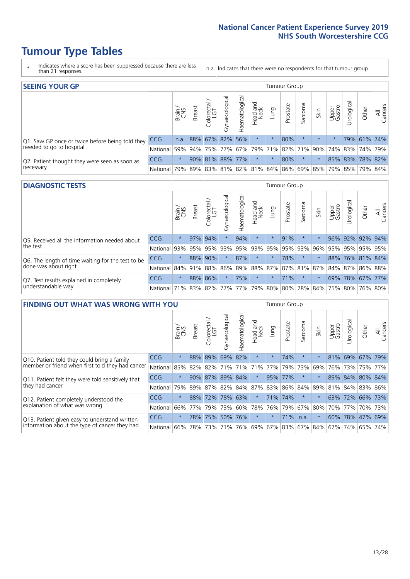- \* Indicates where a score has been suppressed because there are less than 21 responses.
- n.a. Indicates that there were no respondents for that tumour group.

| <b>SEEING YOUR GP</b>                           |            |         |                 |                   |                    |                 |                  |                             | Tumour Group |         |                                                     |                 |                 |             |                |
|-------------------------------------------------|------------|---------|-----------------|-------------------|--------------------|-----------------|------------------|-----------------------------|--------------|---------|-----------------------------------------------------|-----------------|-----------------|-------------|----------------|
|                                                 |            | Brain   | <b>Breast</b>   | Colorectal<br>LGT | ᠊ᢛ<br>Gynaecologic | Haematological  | Head and<br>Neck | Lung                        | Prostate     | Sarcoma | Skin                                                | Upper<br>Gastro | Irologica       | Other       | All<br>Cancers |
| Q1. Saw GP once or twice before being told they | <b>CCG</b> | n.a.    | 88% 67% 82% 56% |                   |                    |                 | $\star$          | $\star$                     | 80%          |         | $\star$                                             | $\star$         |                 | 79% 61% 74% |                |
| needed to go to hospital                        | National   | 59%     |                 |                   |                    |                 |                  | 94% 75% 77% 67% 79% 71% 82% |              |         | 71% 90% 74% 83% 74% 79%                             |                 |                 |             |                |
| Q2. Patient thought they were seen as soon as   | <b>CCG</b> | $\star$ |                 |                   |                    | 90% 81% 88% 77% | $\star$          | $\star$                     | 80%          | $\star$ |                                                     |                 | 85% 83% 78% 82% |             |                |
| necessary                                       | National   | 79%     |                 |                   |                    |                 |                  |                             |              |         | 89% 83% 81% 82% 81% 84% 86% 69% 85% 79% 85% 79% 84% |                 |                 |             |                |

#### **DIAGNOSTIC TESTS** Tumour Group

|                                                   |                                          | Brain   | <b>Breast</b> | Colorectal  | ᅙ<br>Gynaecologic | Haematological | Head and<br>Neck | Lung        | Prostate | Sarcoma | Skin | Upper<br>Gastro | rological                                   | Other | All<br>Cancers |
|---------------------------------------------------|------------------------------------------|---------|---------------|-------------|-------------------|----------------|------------------|-------------|----------|---------|------|-----------------|---------------------------------------------|-------|----------------|
| O5. Received all the information needed about     | CCG                                      | $\star$ |               | 97% 94%     | $\star$           | 94%            | $\star$          | $\star$     | 91%      | $\star$ |      | 96%             | 92% 92% 94%                                 |       |                |
| the test                                          | National                                 | 93%     |               | 95% 95%     |                   | 93% 95%        |                  | 93% 95% 95% |          | 93%     | 96%  |                 | 95% 95% 95% 95%                             |       |                |
| Q6. The length of time waiting for the test to be | <b>CCG</b>                               | $\star$ |               | 88% 90%     | $\star$           | 87%            | $\star$          | $\star$     | 78%      | $\star$ |      |                 | 88% 76% 81% 84%                             |       |                |
| done was about right                              | National                                 |         |               | 84% 91% 88% |                   |                |                  |             |          |         |      |                 | 86% 89% 88% 87% 87% 81% 87% 84% 87% 86% 88% |       |                |
| Q7. Test results explained in completely          | CCG                                      | $\star$ |               | 88% 86%     | $\star$           | 75%            | $\star$          | $\star$     | 71%      | $\star$ |      |                 | 69% 78% 67% 77%                             |       |                |
| understandable way                                | National 71% 83% 82% 77% 77% 79% 80% 80% |         |               |             |                   |                |                  |             |          |         |      |                 | 78% 84% 75% 80% 76% 80%                     |       |                |

| <b>FINDING OUT WHAT WAS WRONG WITH YOU</b>        |          |         |               |                       |                |               |                  |                         | Tumour Group |         |         |                 |            |             |                |
|---------------------------------------------------|----------|---------|---------------|-----------------------|----------------|---------------|------------------|-------------------------|--------------|---------|---------|-----------------|------------|-------------|----------------|
|                                                   |          | Brain   | <b>Breast</b> | olorectal<br>LGT<br>Ū | Gynaecological | Haematologica | Head and<br>Neck | Lung                    | Prostate     | Sarcoma | Skin    | Upper<br>Gastro | Irological | Other       | All<br>Cancers |
| Q10. Patient told they could bring a family       | CCG      | $\star$ | 88% 89%       |                       | 69%            | 82%           | $\star$          | $\star$                 | 74%          | $\ast$  | $\star$ | 81%             | 69%        | 67% 79%     |                |
| member or friend when first told they had cancer  | National | 85%     | 82%           | 82%                   | 71%            | 71%           | 71%              | 77%                     | 79%          | 73%     | 69%     | 76%             | 73%        | 75%         | 77%            |
| Q11. Patient felt they were told sensitively that | CCG      | $\star$ | $90\%$        | 87%                   | 89%            | 84%           | $\star$          | 95%                     | 77%          | $\ast$  | $\star$ | 89%             | 84%        | 80%         | 84%            |
| they had cancer                                   | National | 79%     |               |                       | 89% 87% 82%    | 84% 87%       |                  | 83% 86% 84%             |              |         | 89%     |                 |            | 81% 84% 83% | 86%            |
| Q12. Patient completely understood the            | CCG      | $\star$ | 88%           | 72%                   | 78%            | 63%           | $\star$          | 71%                     | 74%          | $\ast$  | $\star$ | 63%             |            | 72% 66% 73% |                |
| explanation of what was wrong                     | National | 66%     | 77%           | 79%                   | 73%            | 60%           | 78%              | 76%                     | 79%          | 67%     | 80%     | 70%             | 77%        | 70%         | 73%            |
| Q13. Patient given easy to understand written     | CCG      | $\star$ | 78%           | 75%                   | 50%            | 76%           | $\star$          | $\star$                 | 71%          | n.a.    | $\star$ | 60%             | 78% 47%    |             | 69%            |
| information about the type of cancer they had     | National | 66%     | 78%           | 73%                   | 71%            | 76%           |                  | 69% 67% 83% 67% 84% 67% |              |         |         |                 | 74%        | 65%         | 74%            |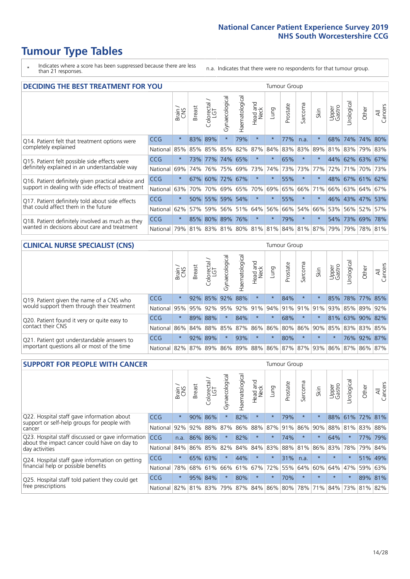\* Indicates where a score has been suppressed because there are less than 21 responses.

n.a. Indicates that there were no respondents for that tumour group.

| <b>DECIDING THE BEST TREATMENT FOR YOU</b>         |            |         |               |                    |                |                |                        |          | <b>Tumour Group</b> |                                     |         |                 |            |                 |                |
|----------------------------------------------------|------------|---------|---------------|--------------------|----------------|----------------|------------------------|----------|---------------------|-------------------------------------|---------|-----------------|------------|-----------------|----------------|
|                                                    |            | Brain   | <b>Breast</b> | Colorectal.<br>LGT | Gynaecological | Haematological | ad and<br>Neck<br>Head | Lung     | Prostate            | Sarcoma                             | Skin    | Upper<br>Gastro | Jrological | Other           | All<br>Cancers |
| Q14. Patient felt that treatment options were      | <b>CCG</b> | $\star$ | 83%           | 89%                | $\star$        | 79%            | $\star$                | $\star$  | 77%                 | n.a.                                |         | 68%             | 74%        | 74%             | 80%            |
| completely explained                               | National   | 85%     | 85%           | 85%                | 85%            | 82%            | 87%                    | 84%      | 83%                 | 83%                                 | 89%     | 81%             |            | 83% 79% 83%     |                |
| Q15. Patient felt possible side effects were       | <b>CCG</b> | $\star$ | 73%           | 77%                |                | 74% 65%        | $\star$                | $^\star$ | 65%                 | $^\star$                            |         |                 |            | 44% 62% 63% 67% |                |
| definitely explained in an understandable way      | National   | 69%     | 74%           | 76%                | 75%            | 69%            | 73%                    | 74%      | 73%                 | 73%                                 | 77%     | 72%             | 71%        | 70% 73%         |                |
| Q16. Patient definitely given practical advice and | <b>CCG</b> | $\star$ | 67%           | 60%                | 72%            | 67%            | $\star$                | $\star$  | 55%                 | $\star$                             | $\star$ |                 |            | 48% 67% 61% 62% |                |
| support in dealing with side effects of treatment  | National   | 63%     | 70%           | 70%                | 69%            | 65%            | 70%                    | 69%      | 65%                 | 66%                                 | 71%     | 66%             |            | 63% 64% 67%     |                |
| Q17. Patient definitely told about side effects    | CCG        | $\star$ |               | 50% 55%            |                | 59% 54%        | $\star$                | $\star$  | 55%                 | $\ast$                              | $\star$ |                 |            | 46% 43% 47% 53% |                |
| that could affect them in the future               | National   | 62%     | 57%           | 59%                |                | 56% 51%        | 64%                    | 56%      | 66%                 | 54%                                 | 66%     |                 |            | 53% 56% 52%     | 57%            |
| Q18. Patient definitely involved as much as they   | <b>CCG</b> | $\star$ |               | 85% 80% 89% 76%    |                |                | $\star$                | $^\star$ | 79%                 | $\star$                             | $\star$ |                 |            | 54% 73% 69% 78% |                |
| wanted in decisions about care and treatment       | National   | 79%     |               |                    |                |                |                        |          |                     | 81% 83% 81% 80% 81% 81% 84% 81% 87% |         | 79%             |            | 79% 78% 81%     |                |

#### **CLINICAL NURSE SPECIALIST (CNS)** Tumour Group

|                                             |                  | Brain   | <b>Breast</b> | olorectal<br>LGT<br>Ü | त्त<br>aecologic<br>Ğ | ক<br>aematologic<br>Í | Head and<br>Neck | Lung    | Prostate | Sarcoma | Skin            | Upper<br>Gastro             | $\overline{\sigma}$<br>rologica | Other       | All<br>Cancers |
|---------------------------------------------|------------------|---------|---------------|-----------------------|-----------------------|-----------------------|------------------|---------|----------|---------|-----------------|-----------------------------|---------------------------------|-------------|----------------|
| Q19. Patient given the name of a CNS who    | <b>CCG</b>       | $\star$ |               | 92% 85%               | 92%                   | 88%                   | $\star$          |         | 84%      | $\star$ |                 | 85%                         |                                 | 78% 77% 85% |                |
| would support them through their treatment  | National         | 95%     | 95%           | 92%                   | 95%                   | 92%                   | 91%              |         |          |         | 94% 91% 91% 91% | 93%                         | 85%                             | 89%         | 92%            |
| Q20. Patient found it very or quite easy to | <b>CCG</b>       | $\star$ |               | 89% 88%               |                       | 84%                   | $\star$          | $\star$ | 68%      | $\star$ | $\star$         | 81%                         |                                 | 63% 90% 82% |                |
| contact their CNS                           | National         |         | 86% 84% 88%   |                       | 85%                   | 87%                   | 86%              | 86% 80% |          |         |                 | 86% 90% 85% 83% 83%         |                                 |             | 85%            |
| Q21. Patient got understandable answers to  | CCG              | $\star$ | 92%           | 89%                   |                       | 93%                   | $\star$          | $\star$ | 80%      | $\star$ | $\star$         | $\star$                     |                                 | 76% 92%     | 87%            |
| important questions all or most of the time | National 82% 87% |         |               | $89\%$                | 86%                   |                       |                  |         |          |         |                 | 89% 88% 86% 87% 87% 93% 86% | 87%                             | 86%         | 87%            |

| <b>SUPPORT FOR PEOPLE WITH CANCER</b>                                                             |            |         |               |                        |                |                |                        |          | Tumour Group |         |         |                 |           |         |                |
|---------------------------------------------------------------------------------------------------|------------|---------|---------------|------------------------|----------------|----------------|------------------------|----------|--------------|---------|---------|-----------------|-----------|---------|----------------|
|                                                                                                   |            | Brain   | <b>Breast</b> | olorectal.<br>LGT<br>Ũ | Gynaecological | Haematological | ad and<br>Neck<br>Head | Lung     | Prostate     | Sarcoma | Skin    | Upper<br>Gastro | Jrologica | Other   | All<br>Cancers |
| Q22. Hospital staff gave information about<br>support or self-help groups for people with         | <b>CCG</b> | $\star$ | 90%           | 86%                    | $\star$        | 82%            | $\star$                | $^\star$ | 79%          | $\star$ | $\star$ | 88%             | 61%       | 72% 81% |                |
| cancer                                                                                            | National   | 92%     | 92%           | 88%                    | 87%            | 86%            | 88%                    | 87%      | 91%          | 86%     | 90%     | 88%             | 81%       | 83%     | 88%            |
| Q23. Hospital staff discussed or gave information<br>about the impact cancer could have on day to | CCG        | n.a.    | 86%           | 86%                    | $\star$        | 82%            | $\star$                | $\star$  | 74%          | $\star$ | $\star$ | 64%             | $\star$   | 77%     | 79%            |
| day activities                                                                                    | National   | 84%     | 86%           | 85%                    | 82%            | 84%            | 84%                    | 83%      | 88%          | 81%     | 86%     | 83%             | 78%       | 79%     | 84%            |
| Q24. Hospital staff gave information on getting                                                   | CCG        | $\star$ | 65% 63%       |                        | $\star$        | 44%            | $\star$                | $\star$  | 31%          | n.a.    | $\star$ | $\star$         | $\star$   |         | 51% 49%        |
| financial help or possible benefits                                                               | National   | 78%     |               | 68% 61%                | 66%            |                | 61% 67%                | 72%      | 55%          | 64%     | 60%     | 64%             | 47%       | 59%     | 63%            |
| Q25. Hospital staff told patient they could get                                                   | CCG        | $\star$ |               | 95% 84%                | $\star$        | 80%            | $\ast$                 | $\star$  | 70%          | $\star$ | $\star$ | $\star$         | $^\star$  | 89%     | 81%            |
| free prescriptions                                                                                | National   | 82%     | 81% 83%       |                        | 79%            |                | 87% 84% 86% 80%        |          |              | 78%     | 71%     | 84%             | 73%       | 81%     | 82%            |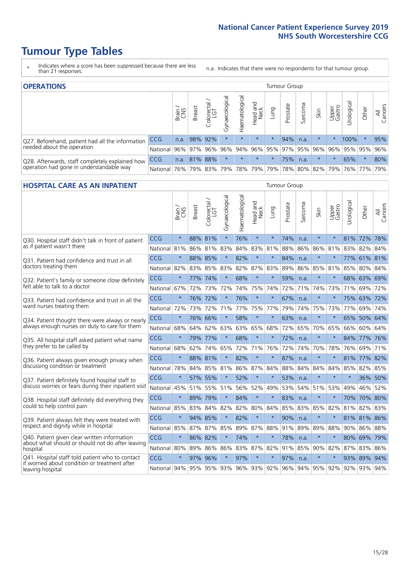- \* Indicates where a score has been suppressed because there are less than 21 responses.
- n.a. Indicates that there were no respondents for that tumour group.

| <b>OPERATIONS</b>                                                                           |            |       |               |            |                   |                |                             |             |          | Tumour Group |                     |                 |                                  |         |                |  |  |  |
|---------------------------------------------------------------------------------------------|------------|-------|---------------|------------|-------------------|----------------|-----------------------------|-------------|----------|--------------|---------------------|-----------------|----------------------------------|---------|----------------|--|--|--|
|                                                                                             |            | Brain | <b>Breast</b> | Colorectal | ক<br>Gynaecologic | Haematological | Head and<br>Neck            | <b>Dung</b> | Prostate | Sarcoma      | Skin                | Upper<br>Gastro | $\overline{\sigma}$<br>Jrologica | Other   | All<br>Cancers |  |  |  |
| Q27. Beforehand, patient had all the information                                            | CCG        | n.a.  |               | 98% 92%    | $\star$           | $\star$        | $\star$                     | $\star$     | 94%      | n.a.         |                     |                 | 100%                             | $\ast$  | 95%            |  |  |  |
| needed about the operation                                                                  | National   | 96%   |               | 97% 96%    |                   |                | 96% 94% 96% 95% 97% 95% 96% |             |          |              |                     | 96%             | 95% 95%                          |         | 96%            |  |  |  |
| Q28. Afterwards, staff completely explained how<br>operation had gone in understandable way | <b>CCG</b> | n.a.  | 81% 88%       |            | $\star$           | $\star$        | $\star$                     | $\star$     | 75%      | n.a.         |                     | $\star$         | 65%                              | $\star$ | 80%            |  |  |  |
|                                                                                             | National   | 76%   |               | 79% 83%    |                   |                | 79%   78%   79%             |             |          |              | 79% 78% 80% 82% 79% |                 |                                  | 76% 77% | 79%            |  |  |  |

### **HOSPITAL CARE AS AN INPATIENT** Tumour Group

|                                                                                                   |              | Brain   | Breast  | Colorectal /<br>LGT | Gynaecological | Haematological | Head and<br>Neck | Lung        | Prostate | Sarcoma | Skin            | Upper<br>Gastro | Urological | Other       | All<br>Cancers |
|---------------------------------------------------------------------------------------------------|--------------|---------|---------|---------------------|----------------|----------------|------------------|-------------|----------|---------|-----------------|-----------------|------------|-------------|----------------|
| Q30. Hospital staff didn't talk in front of patient                                               | CCG          | $\star$ | 88% 81% |                     | $\star$        | 76%            | $\star$          | $\star$     | 74%      | n.a.    | $\star$         | $\star$         |            | 81% 72% 78% |                |
| as if patient wasn't there                                                                        | National     | 81%     | 86%     | 81%                 | 83%            | 84%            | 83%              | 81%         | 88%      | 86%     | 86%             | 81%             | 83%        | 82%         | 84%            |
| 031. Patient had confidence and trust in all<br>doctors treating them                             | CCG          | $\star$ | 88% 85% |                     |                | 82%            | $\star$          | $\star$     | 84%      | n.a.    | $\star$         |                 |            | 77% 61% 81% |                |
|                                                                                                   | National     | 82%     | 83% 85% |                     | 83%            | 82%            |                  | 87% 83%     | 89%      | 86%     | 85%             | 81%             | 85%        | 80% 84%     |                |
| Q32. Patient's family or someone close definitely                                                 | CCG          | $\star$ | 77%     | 74%                 |                | 68%            | $\star$          | $\star$     | 59%      | n.a.    | $\star$         |                 |            | 68% 63% 69% |                |
| felt able to talk to a doctor                                                                     | National     | 67%     | 72%     | 73%                 | 72%            | 74%            | 75%              | 74%         | 72%      | 71%     | 74%             | 73%             | 71%        | 69%         | 72%            |
| Q33. Patient had confidence and trust in all the                                                  | CCG          | $\star$ |         | 76% 72%             | $\star$        | 76%            | $\star$          | $\star$     | 67%      | n.a.    | $\star$         |                 |            | 75% 63% 72% |                |
| ward nurses treating them                                                                         | National     | 72%     | 73%     | 72%                 | 71%            | 77%            | 75%              | 77%         | 79%      | 74%     | 75%             | 73%             | 77%        | 69%         | 74%            |
| Q34. Patient thought there were always or nearly<br>always enough nurses on duty to care for them | CCG          | $\star$ | 76%     | 66%                 | $\star$        | 58%            | $\star$          | $\star$     | 63%      | n.a.    | $\star$         | $\star$         | 65%        | 50%         | 64%            |
|                                                                                                   | National     | 68%     | 64%     | 62%                 | 63%            | 63%            | 65%              | 68%         | 72%      | 65%     | 70%             | 65%             | 66%        | 60%         | 64%            |
| Q35. All hospital staff asked patient what name                                                   | CCG          | $\star$ |         | 79% 77%             | $\star$        | 68%            | $\star$          | $\star$     | 72%      | n.a.    | $\star$         |                 |            | 84% 77% 76% |                |
| they prefer to be called by                                                                       | National     | 68%     | 62%     | 74%                 | 65%            | 72%            | 71%              | 76%         | 72%      | 74%     | 70%             | 78%             | 76%        | 69%         | 71%            |
| Q36. Patient always given enough privacy when                                                     | CCG          | $\star$ | 88% 81% |                     | $\star$        | 82%            | $\star$          | $\star$     | 87%      | n.a.    | $\ast$          |                 |            | 81% 77% 82% |                |
| discussing condition or treatment                                                                 | National     | 78%     | 84%     | 85%                 | 81%            |                |                  | 86% 87% 84% | 88%      | 84%     | 84%             | 84%             | 85%        | 82%         | 85%            |
| Q37. Patient definitely found hospital staff to                                                   | CCG          | $\star$ | 57%     | 55%                 | $\star$        | 52%            | $\star$          | $\star$     | 53%      | n.a.    | $\star$         |                 | $\star$    | 36%         | 50%            |
| discuss worries or fears during their inpatient visit                                             | National     | 45%     |         | 51% 55%             | 51%            |                | 56% 52%          | 49%         | 53%      | 54%     | 51%             | 53%             | 49%        | 46% 52%     |                |
| Q38. Hospital staff definitely did everything they                                                | CCG          | $\star$ | 89% 79% |                     | $\star$        | 84%            | $\star$          | $\star$     | 83%      | n.a.    | $\star$         | $\star$         |            | 70% 70% 80% |                |
| could to help control pain                                                                        | National     | 85%     | 83%     | 84%                 | 82%            | 82%            | 80%              | 84%         | 85%      | 83%     | 85%             | 82%             | 81%        | 82%         | 83%            |
| Q39. Patient always felt they were treated with                                                   | CCG          | $\star$ |         | 94% 85%             | $\star$        | 82%            | $\star$          | $\star$     | 90%      | n.a.    | $\star$         |                 |            | 81% 81% 86% |                |
| respect and dignity while in hospital                                                             | National     | 85%     |         | 87% 87%             | 85%            |                | 89% 87% 88%      |             | 91%      | 89%     | 89%             | 88%             |            | 90% 86% 88% |                |
| Q40. Patient given clear written information<br>about what should or should not do after leaving  | CCG          | $\star$ | 86%     | 82%                 | $\star$        | 74%            | $\star$          | $\star$     | 78%      | n.a.    | $\star$         |                 |            | 80% 69%     | 79%            |
| hospital                                                                                          | National     | 80%     | 89%     | 86%                 | 86%            | 83%            |                  | 87% 82%     | 91%      | 85%     | 90%             | 82%             | 87%        | 83%         | 86%            |
| Q41. Hospital staff told patient who to contact<br>if worried about condition or treatment after  | CCG          | $\star$ | 97%     | 96%                 | $\star$        | 97%            | $\star$          | $\star$     | 97%      | n.a.    | $\star$         |                 |            | 93% 89%     | 94%            |
| leaving hospital                                                                                  | National 94% |         |         | 95% 95% 93%         |                |                |                  | 96% 93% 92% |          |         | 96% 94% 95% 92% |                 |            | 92% 93% 94% |                |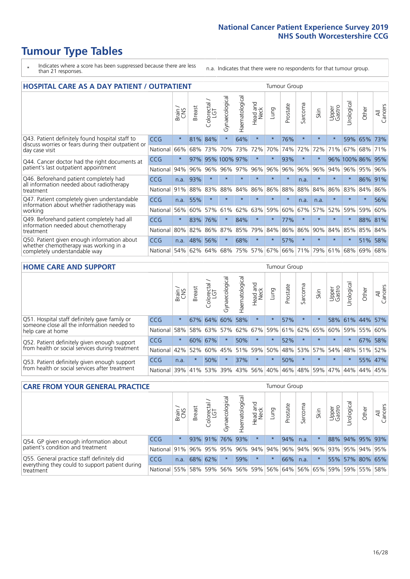- \* Indicates where a score has been suppressed because there are less than 21 responses.
- n.a. Indicates that there were no respondents for that tumour group.

| <b>HOSPITAL CARE AS A DAY PATIENT / OUTPATIENT</b>                                                                       |            |               |               |                              |                |                |                        |         | <b>Tumour Group</b> |         |         |                 |              |         |                |  |  |  |
|--------------------------------------------------------------------------------------------------------------------------|------------|---------------|---------------|------------------------------|----------------|----------------|------------------------|---------|---------------------|---------|---------|-----------------|--------------|---------|----------------|--|--|--|
|                                                                                                                          |            | Brain.<br>CNS | <b>Breast</b> | ╮<br>olorectal /<br>LGT<br>Ũ | Gynaecological | Haematological | ad and<br>Neck<br>Head | Lung    | Prostate            | Sarcoma | Skin    | Upper<br>Gastro | Urological   | Other   | All<br>Cancers |  |  |  |
| Q43. Patient definitely found hospital staff to<br>discuss worries or fears during their outpatient or<br>day case visit | CCG        | $\star$       | 81%           | 84%                          | $\star$        | 64%            | $\star$                | $\star$ | 76%                 | $\star$ |         | $\star$         | 59%          | 65%     | 73%            |  |  |  |
|                                                                                                                          | National   | 66%           | 68%           | 73%                          | 70%            | 73%            | 72%                    | 70%     | 74%                 | 72%     | 72%     | 71%             | 67%          | 68%     | 71%            |  |  |  |
| Q44. Cancer doctor had the right documents at<br>patient's last outpatient appointment                                   | <b>CCG</b> | $\star$       | 97%           |                              | 95% 100% 97%   |                | $\star$                | $\star$ | 93%                 | $\star$ |         |                 | 96% 100% 86% |         | 95%            |  |  |  |
|                                                                                                                          | National   | 94%           | 96%           | 96%                          | 96%            | 97%            | 96%                    | 96%     | 96%                 | 96%     | 96%     | 94%             | 96%          | 95%     | 96%            |  |  |  |
| Q46. Beforehand patient completely had                                                                                   | <b>CCG</b> | n.a.          | 93%           | $\star$                      | $\star$        | $\star$        | $\star$                | $\star$ | $\star$             | n.a.    |         | $\star$         | $^\star$     | 86%     | 91%            |  |  |  |
| all information needed about radiotherapy<br>treatment                                                                   | National   | 91%           | 88%           | 83%                          | 88%            | 84%            | 86%                    | 86%     | 88%                 | 88%     | 84%     | 86%             | 83%          | 84%     | 86%            |  |  |  |
| Q47. Patient completely given understandable                                                                             | CCG        | n.a.          | 55%           | $\star$                      |                |                | $\star$                | $\star$ | $\star$             | n.a.    | n.a.    | $\star$         | $\star$      | $\star$ | 56%            |  |  |  |
| information about whether radiotherapy was<br>working                                                                    | National   | 56%           | 60%           | 57%                          | 61%            | 62%            | 63%                    | 59%     | 60%                 | 67%     | 57%     | 52%             | 59%          | 59%     | 60%            |  |  |  |
| Q49. Beforehand patient completely had all                                                                               | CCG        | $\star$       | 83%           | 76%                          |                | 84%            | $\star$                | $\star$ | 77%                 | $\star$ | $\star$ | $\star$         | $\star$      | 88% 81% |                |  |  |  |
| information needed about chemotherapy<br>treatment                                                                       | National   | 80%           | 82%           | 86%                          | 87%            | 85%            | 79%                    | 84%     | 86%                 | 86%     | 90%     | 84%             | 85%          | 85%     | 84%            |  |  |  |
| Q50. Patient given enough information about<br>whether chemotherapy was working in a<br>completely understandable way    | <b>CCG</b> | n.a.          | 48%           | 56%                          | $\star$        | 68%            | $\star$                | $\star$ | 57%                 | $\star$ | $\star$ | $\star$         | $\star$      | 51%     | 58%            |  |  |  |
|                                                                                                                          | National   | 54%           | 62%           | 64%                          | 68%            | 75%            |                        | 57% 67% | 66%                 | 71%     | 79%     | 61%             | 68%          | 69%     | 68%            |  |  |  |

#### **HOME CARE AND SUPPORT** Tumour Group

|                                                                                                                   |            | Brain   | <b>Breast</b> | Colorectal<br>LGT | $\overline{\sigma}$<br>Gynaecologic | ত<br>Haematologic | ad and<br>Neck<br>Head | Lung    | Prostate | Sarcoma | Skin    | Upper<br>Gastro | rological | Other      | All<br>Cancers |
|-------------------------------------------------------------------------------------------------------------------|------------|---------|---------------|-------------------|-------------------------------------|-------------------|------------------------|---------|----------|---------|---------|-----------------|-----------|------------|----------------|
| Q51. Hospital staff definitely gave family or<br>someone close all the information needed to<br>help care at home | <b>CCG</b> | $\star$ | 67%           | 64%               | 60%                                 | 58%               | $\star$                | $\star$ | 57%      | $\ast$  |         | 58%             |           | $61\%$ 44% | 57%            |
|                                                                                                                   | National   | 58%     |               | 58% 63%           | 57%                                 | 62%               | 67%                    | 59%     | 61%      | 62% 65% |         | 60%             | 59%       | 55%        | 60%            |
| Q52. Patient definitely given enough support<br>from health or social services during treatment                   | <b>CCG</b> | $\star$ | 60% 67%       |                   | $\star$                             | 50%               | $\star$                | $\star$ | 52%      | $\star$ | $\star$ | $\star$         |           | 67%        | 58%            |
|                                                                                                                   | National   | 42%     | 52%           | 60%               | 45%                                 | 51%               | 59%                    | 50%     | 48%      | 53%     | 57%     |                 | 54% 48%   | 51%        | 52%            |
| Q53. Patient definitely given enough support<br>from health or social services after treatment                    | <b>CCG</b> | n.a.    | $\star$       | 50%               | $\star$                             | 37%               | $\star$                | $\star$ | 50%      |         | $\star$ | $\star$         | $\star$   | 55% 47%    |                |
|                                                                                                                   | National   | 39%     |               | 41% 53%           | 39%                                 | $ 43\% $          | 56%                    | 40%     | 46%      | 48%     | 59%     | 47%             | 44%       | 44%        | 45%            |

| <b>CARE FROM YOUR GENERAL PRACTICE</b>                                                                     |              |         |               |                        |               |                |                                         | <b>Tumour Group</b> |          |         |                         |                 |                      |                 |                |  |
|------------------------------------------------------------------------------------------------------------|--------------|---------|---------------|------------------------|---------------|----------------|-----------------------------------------|---------------------|----------|---------|-------------------------|-----------------|----------------------|-----------------|----------------|--|
|                                                                                                            |              | Brain,  | <b>Breast</b> | ╮<br>Colorectal<br>LGT | Gynaecologica | Haematological | Head and<br>Neck                        | Lung                | Prostate | Sarcoma | Skin                    | Upper<br>Gastro | $\sigma$<br>Urologic | Other           | All<br>Cancers |  |
| Q54. GP given enough information about<br>patient's condition and treatment                                | CCG          | $\star$ |               | 93% 91%                |               | 76% 93%        | $\star$                                 | $\star$             | 94%      | n.a.    |                         |                 |                      | 88% 94% 95% 93% |                |  |
|                                                                                                            | National 91% |         |               |                        | 96% 95% 95%   |                | 96% 94% 94%                             |                     | 96%      |         | 94% 96% 93% 95% 94% 95% |                 |                      |                 |                |  |
| Q55. General practice staff definitely did<br>everything they could to support patient during<br>treatment | <b>CCG</b>   | n.a.    |               | 68% 62%                |               | 59%            | $\star$                                 | $\star$             | 66%      | n.a.    |                         |                 |                      | 55% 57% 80% 65% |                |  |
|                                                                                                            | National 55% |         |               |                        | 58% 59% 56%   |                | 56% 59% 56% 64% 56% 65% 59% 59% 55% 58% |                     |          |         |                         |                 |                      |                 |                |  |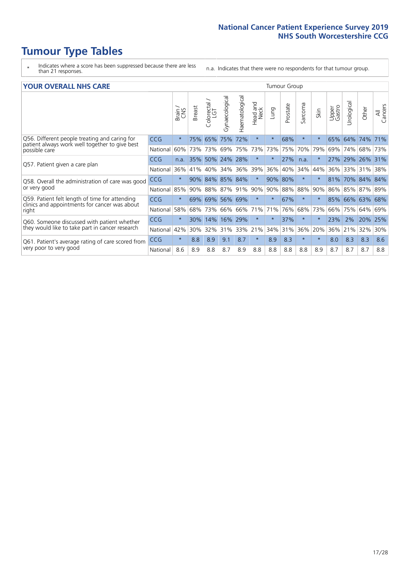- \* Indicates where a score has been suppressed because there are less than 21 responses.
- n.a. Indicates that there were no respondents for that tumour group.

#### **YOUR OVERALL NHS CARE** THE TWO CONTROLLER THE THE THROUP CHANGE THE TUMOUR GROUP

|                                                                                                 |            | Brain<br>CNS | Breast | olorectal.<br>LGT<br>$\cup$ | Gynaecological | Haematological | Head and<br>Neck | Lung     | Prostate | Sarcoma | Skin     | Upper<br>Gastro | Urologica | Other           | All<br>Cancers |
|-------------------------------------------------------------------------------------------------|------------|--------------|--------|-----------------------------|----------------|----------------|------------------|----------|----------|---------|----------|-----------------|-----------|-----------------|----------------|
| Q56. Different people treating and caring for                                                   | <b>CCG</b> | $\star$      | 75%    | 65%                         | 75%            | 72%            | $\star$          | $^\star$ | 68%      | $\star$ | $\star$  | 65%             | 64%       | 74%             | 71%            |
| patient always work well together to give best<br>possible care                                 | National   | 60%          | 73%    | 73%                         | 69%            | 75%            | 73%              | 73%      | 75%      | 70%     | 79%      | 69%             | 74%       | 68%             | 73%            |
| Q57. Patient given a care plan                                                                  | <b>CCG</b> | n.a.         | 35%    | 50%                         | 24% 28%        |                | $\star$          | $^\star$ | 27%      | n.a.    | $^\star$ | 27% 29%         |           | $ 26\% $        | 31%            |
|                                                                                                 | National   | 36%          | 41%    | 40%                         | 34%            | 36%            | 39%              | 36%      | 40%      | 34%     | 44%      | 36%             | 33%       | 31%             | 38%            |
| Q58. Overall the administration of care was good                                                | <b>CCG</b> | $\star$      | 90%    | 84%                         | 85% 84%        |                | $\star$          | 90%      | 80%      | $\star$ | $^\star$ | 81%             | 70%       | 84% 84%         |                |
| or very good                                                                                    | National   | 85%          |        | 90% 88%                     | 87% 91%        |                | 90%              | 90%      | 88%      | 88%     | 90%      |                 |           | 86% 85% 87% 89% |                |
| Q59. Patient felt length of time for attending<br>clinics and appointments for cancer was about | <b>CCG</b> | $\star$      | 69%    |                             | 69% 56% 69%    |                | $\star$          | $^\star$ | 67%      | $\star$ | $\star$  |                 |           | 85% 66% 63% 68% |                |
| right                                                                                           | National   | 58%          | 68%    | 73%                         | 66%            | 66%            | 71%              | 71%      | 76%      | 68%     | 73%      | 66%             | 75%       | 64%             | 69%            |
| Q60. Someone discussed with patient whether                                                     | <b>CCG</b> | $\star$      | 30%    | 14%                         | 16%            | 29%            | $\star$          | $^\star$ | 37%      | $\star$ | $\star$  | 23%             | 2%        | 20%             | 25%            |
| they would like to take part in cancer research                                                 | National   | 42%          | $30\%$ | 32%                         | 31%            | 33%            | 21%              | 34%      | 31%      | 36%     | 20%      | 36%             | 21%       | 32%             | 30%            |
| Q61. Patient's average rating of care scored from<br>very poor to very good                     | <b>CCG</b> | $\star$      | 8.8    | 8.9                         | 9.1            | 8.7            | $\star$          | 8.9      | 8.3      | $\star$ | $\star$  | 8.0             | 8.3       | 8.3             | 8.6            |
|                                                                                                 | National   | 8.6          | 8.9    | 8.8                         | 8.7            | 8.9            | 8.8              | 8.8      | 8.8      | 8.8     | 8.9      | 8.7             | 8.7       | 8.7             | 8.8            |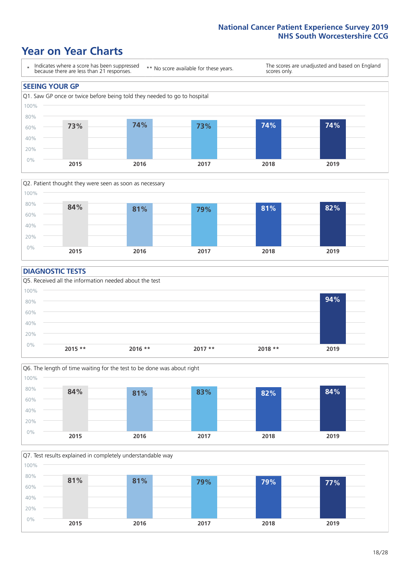### **Year on Year Charts**





### **DIAGNOSTIC TESTS**





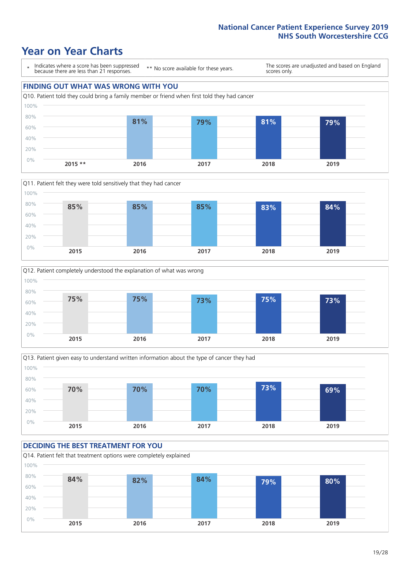







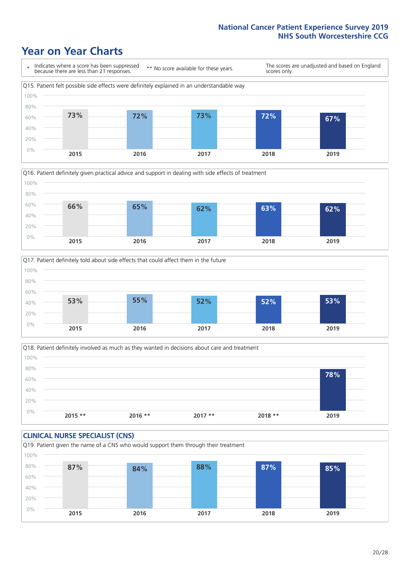





Q18. Patient definitely involved as much as they wanted in decisions about care and treatment  $0%$ 20% 40% 60% 80% 100% **2015 \*\* 2016 \*\* 2017 \*\* 2018 \*\* 2019 78%**

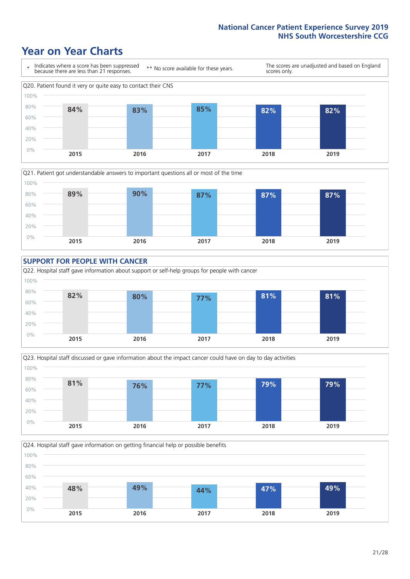









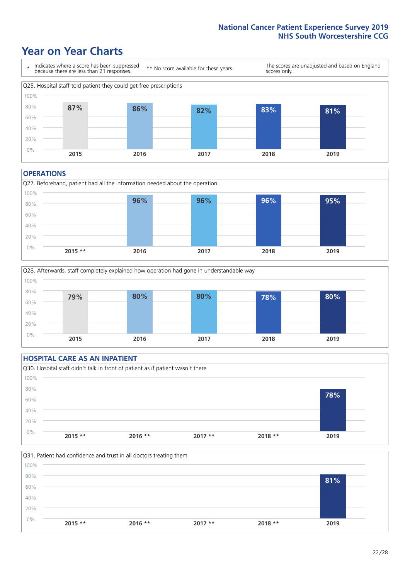### **Year on Year Charts**



#### **OPERATIONS**

Q27. Beforehand, patient had all the information needed about the operation  $0%$ 20% 40% 60% 80% 100% **2015 \*\* 2016 2017 2018 2019 96% 96% 96% 95%**



### **HOSPITAL CARE AS AN INPATIENT** Q30. Hospital staff didn't talk in front of patient as if patient wasn't there 0% 20% 40% 60% 80% 100% **2015 \*\* 2016 \*\* 2017 \*\* 2018 \*\* 2019 78%**

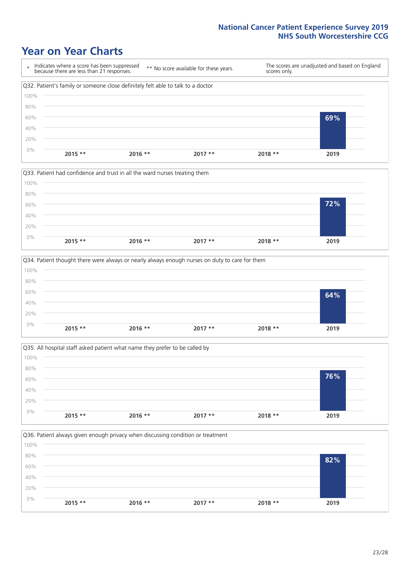







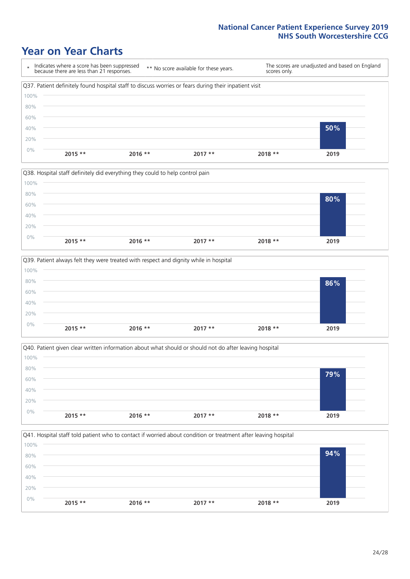







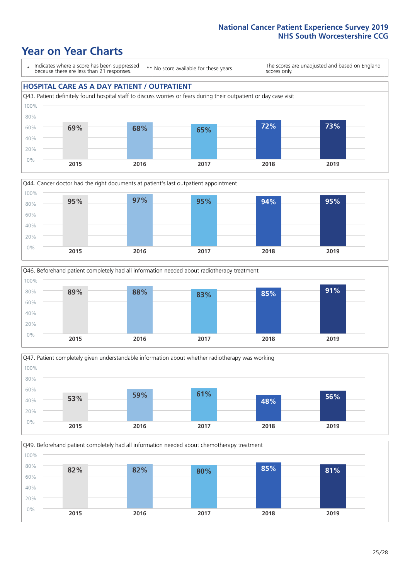### **Year on Year Charts**

\* Indicates where a score has been suppressed because there are less than 21 responses.

\*\* No score available for these years.

The scores are unadjusted and based on England scores only.

#### **HOSPITAL CARE AS A DAY PATIENT / OUTPATIENT**









Q49. Beforehand patient completely had all information needed about chemotherapy treatment 80% 100%

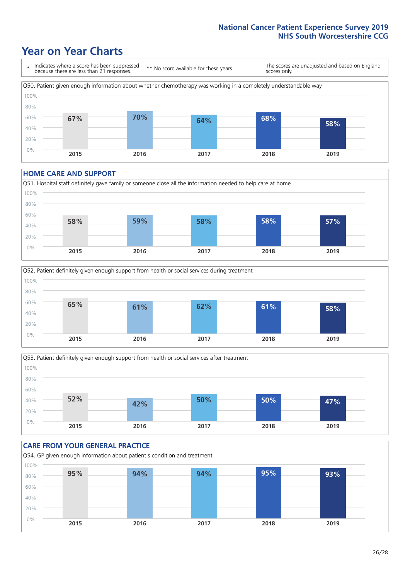### **Year on Year Charts**



#### **HOME CARE AND SUPPORT**







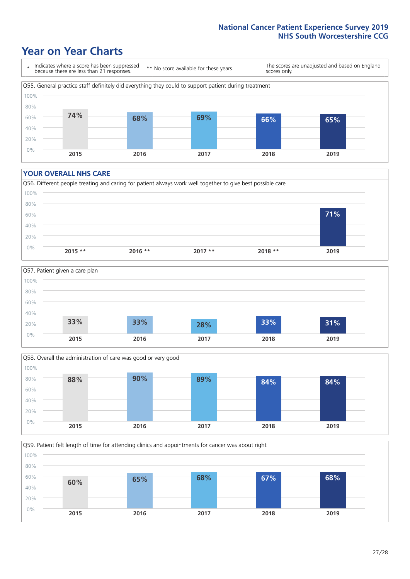### **Year on Year Charts**

\* Indicates where a score has been suppressed because there are less than 21 responses. \*\* No score available for these years. The scores are unadjusted and based on England scores only. Q55. General practice staff definitely did everything they could to support patient during treatment 0% 20% 40% 60% 80% 100% **2015 2016 2017 2018 2019 74% 68% 69% 66% 65%**

#### **YOUR OVERALL NHS CARE**







Q59. Patient felt length of time for attending clinics and appointments for cancer was about right